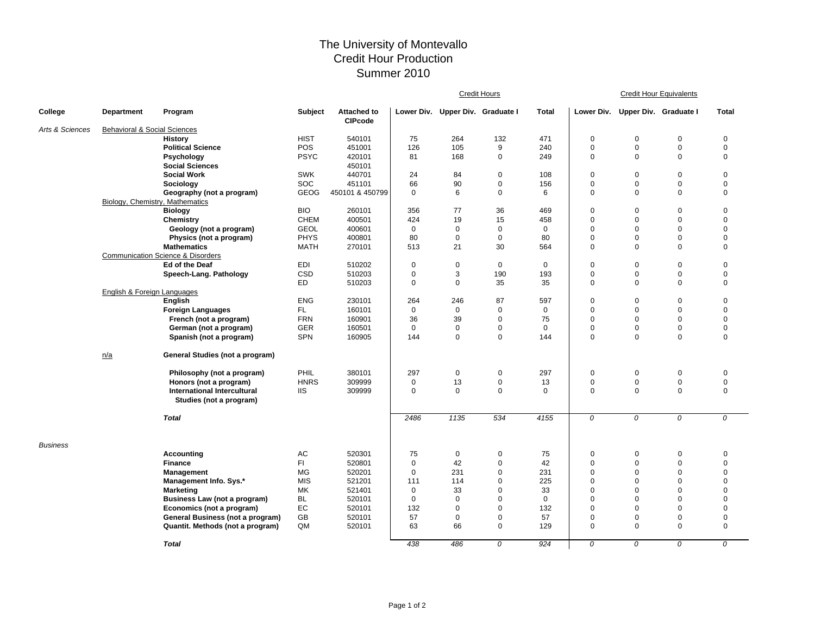## The University of Montevallo Credit Hour Production Summer 2010

|                 |                                         |                                              |             |                                      | <b>Credit Hours</b> |             |                                  |              | <b>Credit Hour Equivalents</b> |                       |             |              |  |
|-----------------|-----------------------------------------|----------------------------------------------|-------------|--------------------------------------|---------------------|-------------|----------------------------------|--------------|--------------------------------|-----------------------|-------------|--------------|--|
| College         | Department                              | Program                                      | Subject     | <b>Attached to</b><br><b>CIPcode</b> |                     |             | Lower Div. Upper Div. Graduate I | <b>Total</b> | Lower Div.                     | Upper Div. Graduate I |             | <b>Total</b> |  |
| Arts & Sciences | <b>Behavioral &amp; Social Sciences</b> |                                              |             |                                      |                     |             |                                  |              |                                |                       |             |              |  |
|                 |                                         | <b>History</b>                               | <b>HIST</b> | 540101                               | 75                  | 264         | 132                              | 471          | 0                              | $\mathbf 0$           | $\mathbf 0$ | $\mathbf 0$  |  |
|                 |                                         | <b>Political Science</b>                     | POS         | 451001                               | 126                 | 105         | 9                                | 240          | 0                              | $\mathbf 0$           | $\mathsf 0$ | $\mathbf 0$  |  |
|                 |                                         | Psychology                                   | <b>PSYC</b> | 420101                               | 81                  | 168         | $\mathbf 0$                      | 249          | 0                              | $\mathbf 0$           | $\mathbf 0$ | $\mathbf 0$  |  |
|                 |                                         | <b>Social Sciences</b>                       |             | 450101                               |                     |             |                                  |              |                                |                       |             |              |  |
|                 |                                         | <b>Social Work</b>                           | <b>SWK</b>  | 440701                               | 24                  | 84          | $\mathbf 0$                      | 108          | 0                              | $\mathbf 0$           | $\mathbf 0$ | $\mathbf 0$  |  |
|                 |                                         | Sociology                                    | SOC         | 451101                               | 66                  | 90          | $\mathbf 0$                      | 156          | 0                              | $\mathbf 0$           | $\mathbf 0$ | $\mathbf 0$  |  |
|                 |                                         | Geography (not a program)                    | <b>GEOG</b> | 450101 & 450799                      | $\mathbf 0$         | 6           | $\mathbf 0$                      | 6            | 0                              | $\mathbf 0$           | $\mathbf 0$ | $\mathbf 0$  |  |
|                 | Biology, Chemistry, Mathematics         |                                              |             |                                      |                     |             |                                  |              |                                |                       |             |              |  |
|                 |                                         | <b>Biology</b>                               | <b>BIO</b>  | 260101                               | 356                 | 77          | 36                               | 469          | 0                              | $\mathbf 0$           | $\mathbf 0$ | $\mathbf 0$  |  |
|                 |                                         | Chemistry                                    | <b>CHEM</b> | 400501                               | 424                 | 19          | 15                               | 458          | 0                              | $\mathbf 0$           | $\mathbf 0$ | $\mathbf 0$  |  |
|                 |                                         | Geology (not a program)                      | <b>GEOL</b> | 400601                               | $\mathbf 0$         | $\Omega$    | $\mathbf 0$                      | $\mathbf 0$  | 0                              | $\mathbf 0$           | $\mathbf 0$ | $\mathbf 0$  |  |
|                 |                                         | Physics (not a program)                      | <b>PHYS</b> | 400801                               | 80                  | $\mathbf 0$ | $\mathbf 0$                      | 80           | 0                              | $\mathbf 0$           | $\mathbf 0$ | $\mathbf 0$  |  |
|                 |                                         | <b>Mathematics</b>                           | <b>MATH</b> | 270101                               | 513                 | 21          | 30                               | 564          | 0                              | $\mathbf 0$           | $\Omega$    | $\mathbf 0$  |  |
|                 |                                         | <b>Communication Science &amp; Disorders</b> |             |                                      |                     |             |                                  |              |                                |                       |             |              |  |
|                 |                                         | Ed of the Deaf                               | EDI         | 510202                               | 0                   | $\mathbf 0$ | $\mathbf 0$                      | $\mathbf 0$  | 0                              | $\pmb{0}$             | $\mathbf 0$ | $\mathbf 0$  |  |
|                 |                                         | Speech-Lang. Pathology                       | <b>CSD</b>  | 510203                               | 0                   | 3           | 190                              | 193          | 0                              | $\mathbf 0$           | $\mathbf 0$ | $\mathbf 0$  |  |
|                 |                                         |                                              | <b>ED</b>   | 510203                               | $\mathbf 0$         | $\mathbf 0$ | 35                               | 35           | 0                              | $\mathbf 0$           | $\mathbf 0$ | $\mathbf 0$  |  |
|                 | <b>English &amp; Foreign Languages</b>  |                                              |             |                                      |                     |             |                                  |              |                                |                       |             |              |  |
|                 |                                         | English                                      | <b>ENG</b>  | 230101                               | 264                 | 246         | 87                               | 597          | 0                              | $\mathbf 0$           | $\mathbf 0$ | $\mathbf 0$  |  |
|                 |                                         | <b>Foreign Languages</b>                     | FL.         | 160101                               | $\mathbf 0$         | $\mathbf 0$ | $\mathbf 0$                      | $\mathbf 0$  | 0                              | $\mathbf 0$           | $\mathbf 0$ | $\mathbf 0$  |  |
|                 |                                         | French (not a program)                       | <b>FRN</b>  | 160901                               | 36                  | 39          | $\mathbf 0$                      | 75           | 0                              | $\mathbf 0$           | $\mathbf 0$ | $\mathbf 0$  |  |
|                 |                                         | German (not a program)                       | <b>GER</b>  | 160501                               | $\mathbf 0$         | $\pmb{0}$   | $\mathbf 0$                      | $\mathbf 0$  | 0                              | $\mathbf 0$           | $\mathbf 0$ | $\mathbf 0$  |  |
|                 |                                         | Spanish (not a program)                      | <b>SPN</b>  | 160905                               | 144                 | $\mathbf 0$ | $\mathbf 0$                      | 144          | 0                              | $\mathbf 0$           | $\mathbf 0$ | $\mathbf 0$  |  |
|                 | n/a                                     | General Studies (not a program)              |             |                                      |                     |             |                                  |              |                                |                       |             |              |  |
|                 |                                         | Philosophy (not a program)                   | PHIL        | 380101                               | 297                 | $\mathbf 0$ | $\mathbf 0$                      | 297          | 0                              | $\mathbf 0$           | $\mathbf 0$ | $\mathbf 0$  |  |
|                 |                                         | Honors (not a program)                       | <b>HNRS</b> | 309999                               | $\mathbf 0$         | 13          | $\mathbf 0$                      | 13           | 0                              | $\mathbf 0$           | $\mathsf 0$ | $\pmb{0}$    |  |
|                 |                                         | <b>International Intercultural</b>           | <b>IIS</b>  | 309999                               | $\mathbf 0$         | $\mathbf 0$ | $\mathbf 0$                      | $\Omega$     | 0                              | $\mathbf 0$           | $\mathbf 0$ | $\mathbf 0$  |  |
|                 |                                         | Studies (not a program)                      |             |                                      |                     |             |                                  |              |                                |                       |             |              |  |
|                 |                                         | <b>Total</b>                                 |             |                                      | 2486                | 1135        | 534                              | 4155         | 0                              | 0                     | 0           | 0            |  |
| <b>Business</b> |                                         |                                              |             |                                      |                     |             |                                  |              |                                |                       |             |              |  |
|                 |                                         | Accounting                                   | AC          | 520301                               | 75                  | 0           | 0                                | 75           | 0                              | 0                     | 0           | 0            |  |
|                 |                                         | <b>Finance</b>                               | FI          | 520801                               | $\mathbf 0$         | 42          | $\mathbf 0$                      | 42           | 0                              | $\mathbf 0$           | $\mathbf 0$ | $\mathbf 0$  |  |
|                 |                                         | Management                                   | MG          | 520201                               | $\mathbf 0$         | 231         | $\mathbf 0$                      | 231          | 0                              | $\mathbf 0$           | $\mathbf 0$ | $\mathbf 0$  |  |
|                 |                                         | Management Info. Sys.*                       | <b>MIS</b>  | 521201                               | 111                 | 114         | $\mathbf 0$                      | 225          | $\mathbf 0$                    | $\mathbf 0$           | $\mathbf 0$ | $\mathbf 0$  |  |
|                 |                                         | <b>Marketing</b>                             | MK          | 521401                               | $\mathbf 0$         | 33          | $\mathbf 0$                      | 33           | 0                              | $\mathbf 0$           | $\mathbf 0$ | $\mathbf 0$  |  |
|                 |                                         | Business Law (not a program)                 | <b>BL</b>   | 520101                               | $\mathbf 0$         | $\mathbf 0$ | $\mathbf 0$                      | $\mathbf 0$  | 0                              | $\mathbf 0$           | $\mathbf 0$ | $\mathbf 0$  |  |
|                 |                                         | Economics (not a program)                    | EC          | 520101                               | 132                 | $\mathbf 0$ | $\mathbf 0$                      | 132          | 0                              | $\mathbf 0$           | $\mathbf 0$ | $\mathbf 0$  |  |
|                 |                                         | General Business (not a program)             | GB          | 520101                               | 57                  | $\mathbf 0$ | $\mathbf 0$                      | 57           | 0                              | $\mathbf 0$           | $\mathbf 0$ | $\mathbf 0$  |  |
|                 |                                         | Quantit. Methods (not a program)             | QM          | 520101                               | 63                  | 66          | $\mathbf 0$                      | 129          | 0                              | $\mathbf 0$           | $\mathbf 0$ | $\mathbf 0$  |  |
|                 |                                         | <b>Total</b>                                 |             |                                      | 438                 | 486         | 0                                | 924          | 0                              | 0                     | 0           | 0            |  |